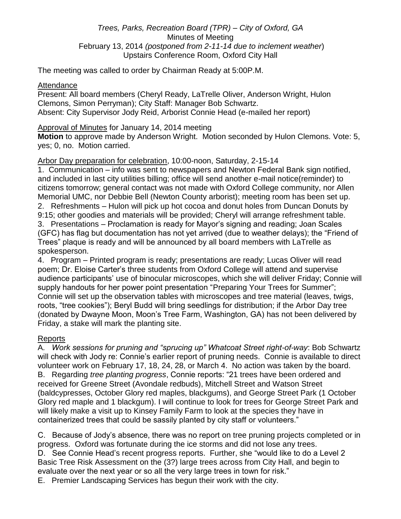## *Trees, Parks, Recreation Board (TPR) – City of Oxford, GA* Minutes of Meeting February 13, 2014 *(postponed from 2-11-14 due to inclement weather*) Upstairs Conference Room, Oxford City Hall

The meeting was called to order by Chairman Ready at 5:00P.M.

## Attendance

Present: All board members (Cheryl Ready, LaTrelle Oliver, Anderson Wright, Hulon Clemons, Simon Perryman); City Staff: Manager Bob Schwartz. Absent: City Supervisor Jody Reid, Arborist Connie Head (e-mailed her report)

Approval of Minutes for January 14, 2014 meeting

**Motion** to approve made by Anderson Wright. Motion seconded by Hulon Clemons. Vote: 5, yes; 0, no. Motion carried.

## Arbor Day preparation for celebration, 10:00-noon, Saturday, 2-15-14

1. Communication – info was sent to newspapers and Newton Federal Bank sign notified, and included in last city utilities billing; office will send another e-mail notice(reminder) to citizens tomorrow; general contact was not made with Oxford College community, nor Allen Memorial UMC, nor Debbie Bell (Newton County arborist); meeting room has been set up. 2. Refreshments – Hulon will pick up hot cocoa and donut holes from Duncan Donuts by 9:15; other goodies and materials will be provided; Cheryl will arrange refreshment table. 3. Presentations – Proclamation is ready for Mayor's signing and reading; Joan Scales (GFC) has flag but documentation has not yet arrived (due to weather delays); the "Friend of Trees" plaque is ready and will be announced by all board members with LaTrelle as spokesperson.

4. Program – Printed program is ready; presentations are ready; Lucas Oliver will read poem; Dr. Eloise Carter's three students from Oxford College will attend and supervise audience participants' use of binocular microscopes, which she will deliver Friday; Connie will supply handouts for her power point presentation "Preparing Your Trees for Summer"; Connie will set up the observation tables with microscopes and tree material (leaves, twigs, roots, "tree cookies"); Beryl Budd will bring seedlings for distribution; if the Arbor Day tree (donated by Dwayne Moon, Moon's Tree Farm, Washington, GA) has not been delivered by Friday, a stake will mark the planting site.

## Reports

A*. Work sessions for pruning and "sprucing up" Whatcoat Street right-of-way*: Bob Schwartz will check with Jody re: Connie's earlier report of pruning needs. Connie is available to direct volunteer work on February 17, 18, 24, 28, or March 4. No action was taken by the board. B. Regarding *tree planting progress*, Connie reports: "21 trees have been ordered and received for Greene Street (Avondale redbuds), Mitchell Street and Watson Street (baldcypresses, October Glory red maples, blackgums), and George Street Park (1 October Glory red maple and 1 blackgum). I will continue to look for trees for George Street Park and will likely make a visit up to Kinsey Family Farm to look at the species they have in containerized trees that could be sassily planted by city staff or volunteers."

C. Because of Jody's absence, there was no report on tree pruning projects completed or in progress. Oxford was fortunate during the ice storms and did not lose any trees. D. See Connie Head's recent progress reports. Further, she "would like to do a Level 2 Basic Tree Risk Assessment on the (3?) large trees across from City Hall, and begin to evaluate over the next year or so all the very large trees in town for risk."

E. Premier Landscaping Services has begun their work with the city.